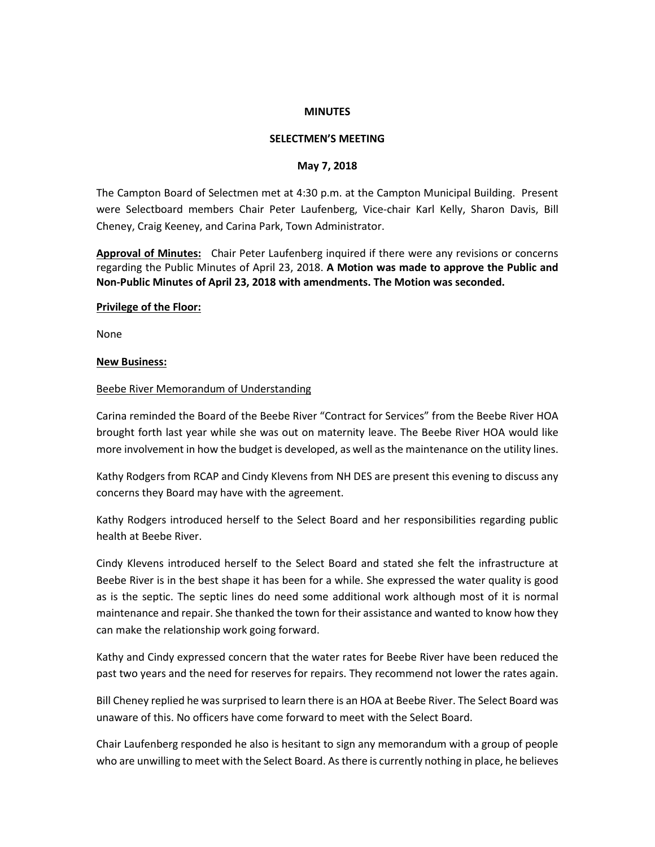### **MINUTES**

### **SELECTMEN'S MEETING**

#### **May 7, 2018**

The Campton Board of Selectmen met at 4:30 p.m. at the Campton Municipal Building. Present were Selectboard members Chair Peter Laufenberg, Vice-chair Karl Kelly, Sharon Davis, Bill Cheney, Craig Keeney, and Carina Park, Town Administrator.

**Approval of Minutes:** Chair Peter Laufenberg inquired if there were any revisions or concerns regarding the Public Minutes of April 23, 2018. **A Motion was made to approve the Public and Non-Public Minutes of April 23, 2018 with amendments. The Motion was seconded.** 

### **Privilege of the Floor:**

None

### **New Business:**

### Beebe River Memorandum of Understanding

Carina reminded the Board of the Beebe River "Contract for Services" from the Beebe River HOA brought forth last year while she was out on maternity leave. The Beebe River HOA would like more involvement in how the budget is developed, as well as the maintenance on the utility lines.

Kathy Rodgers from RCAP and Cindy Klevens from NH DES are present this evening to discuss any concerns they Board may have with the agreement.

Kathy Rodgers introduced herself to the Select Board and her responsibilities regarding public health at Beebe River.

Cindy Klevens introduced herself to the Select Board and stated she felt the infrastructure at Beebe River is in the best shape it has been for a while. She expressed the water quality is good as is the septic. The septic lines do need some additional work although most of it is normal maintenance and repair. She thanked the town for their assistance and wanted to know how they can make the relationship work going forward.

Kathy and Cindy expressed concern that the water rates for Beebe River have been reduced the past two years and the need for reserves for repairs. They recommend not lower the rates again.

Bill Cheney replied he was surprised to learn there is an HOA at Beebe River. The Select Board was unaware of this. No officers have come forward to meet with the Select Board.

Chair Laufenberg responded he also is hesitant to sign any memorandum with a group of people who are unwilling to meet with the Select Board. As there is currently nothing in place, he believes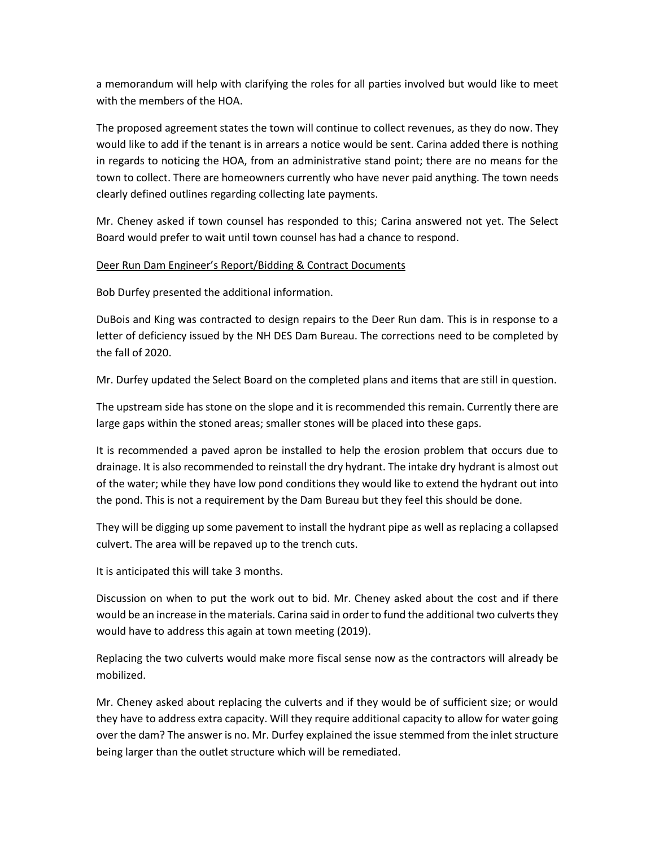a memorandum will help with clarifying the roles for all parties involved but would like to meet with the members of the HOA.

The proposed agreement states the town will continue to collect revenues, as they do now. They would like to add if the tenant is in arrears a notice would be sent. Carina added there is nothing in regards to noticing the HOA, from an administrative stand point; there are no means for the town to collect. There are homeowners currently who have never paid anything. The town needs clearly defined outlines regarding collecting late payments.

Mr. Cheney asked if town counsel has responded to this; Carina answered not yet. The Select Board would prefer to wait until town counsel has had a chance to respond.

## Deer Run Dam Engineer's Report/Bidding & Contract Documents

Bob Durfey presented the additional information.

DuBois and King was contracted to design repairs to the Deer Run dam. This is in response to a letter of deficiency issued by the NH DES Dam Bureau. The corrections need to be completed by the fall of 2020.

Mr. Durfey updated the Select Board on the completed plans and items that are still in question.

The upstream side has stone on the slope and it is recommended this remain. Currently there are large gaps within the stoned areas; smaller stones will be placed into these gaps.

It is recommended a paved apron be installed to help the erosion problem that occurs due to drainage. It is also recommended to reinstall the dry hydrant. The intake dry hydrant is almost out of the water; while they have low pond conditions they would like to extend the hydrant out into the pond. This is not a requirement by the Dam Bureau but they feel this should be done.

They will be digging up some pavement to install the hydrant pipe as well as replacing a collapsed culvert. The area will be repaved up to the trench cuts.

It is anticipated this will take 3 months.

Discussion on when to put the work out to bid. Mr. Cheney asked about the cost and if there would be an increase in the materials. Carina said in order to fund the additional two culverts they would have to address this again at town meeting (2019).

Replacing the two culverts would make more fiscal sense now as the contractors will already be mobilized.

Mr. Cheney asked about replacing the culverts and if they would be of sufficient size; or would they have to address extra capacity. Will they require additional capacity to allow for water going over the dam? The answer is no. Mr. Durfey explained the issue stemmed from the inlet structure being larger than the outlet structure which will be remediated.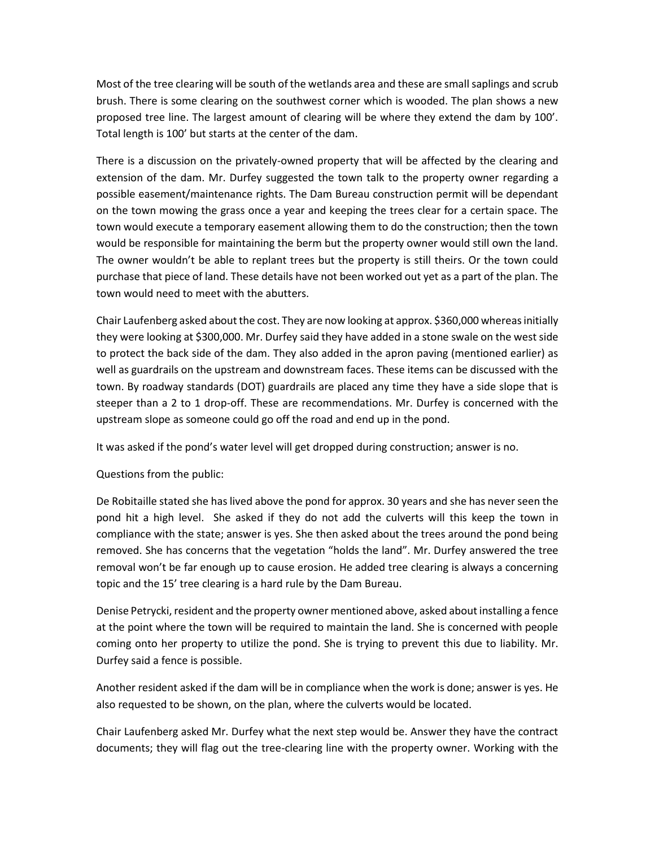Most of the tree clearing will be south of the wetlands area and these are small saplings and scrub brush. There is some clearing on the southwest corner which is wooded. The plan shows a new proposed tree line. The largest amount of clearing will be where they extend the dam by 100'. Total length is 100' but starts at the center of the dam.

There is a discussion on the privately-owned property that will be affected by the clearing and extension of the dam. Mr. Durfey suggested the town talk to the property owner regarding a possible easement/maintenance rights. The Dam Bureau construction permit will be dependant on the town mowing the grass once a year and keeping the trees clear for a certain space. The town would execute a temporary easement allowing them to do the construction; then the town would be responsible for maintaining the berm but the property owner would still own the land. The owner wouldn't be able to replant trees but the property is still theirs. Or the town could purchase that piece of land. These details have not been worked out yet as a part of the plan. The town would need to meet with the abutters.

Chair Laufenberg asked about the cost. They are now looking at approx. \$360,000 whereas initially they were looking at \$300,000. Mr. Durfey said they have added in a stone swale on the west side to protect the back side of the dam. They also added in the apron paving (mentioned earlier) as well as guardrails on the upstream and downstream faces. These items can be discussed with the town. By roadway standards (DOT) guardrails are placed any time they have a side slope that is steeper than a 2 to 1 drop-off. These are recommendations. Mr. Durfey is concerned with the upstream slope as someone could go off the road and end up in the pond.

It was asked if the pond's water level will get dropped during construction; answer is no.

Questions from the public:

De Robitaille stated she has lived above the pond for approx. 30 years and she has never seen the pond hit a high level. She asked if they do not add the culverts will this keep the town in compliance with the state; answer is yes. She then asked about the trees around the pond being removed. She has concerns that the vegetation "holds the land". Mr. Durfey answered the tree removal won't be far enough up to cause erosion. He added tree clearing is always a concerning topic and the 15' tree clearing is a hard rule by the Dam Bureau.

Denise Petrycki, resident and the property owner mentioned above, asked about installing a fence at the point where the town will be required to maintain the land. She is concerned with people coming onto her property to utilize the pond. She is trying to prevent this due to liability. Mr. Durfey said a fence is possible.

Another resident asked if the dam will be in compliance when the work is done; answer is yes. He also requested to be shown, on the plan, where the culverts would be located.

Chair Laufenberg asked Mr. Durfey what the next step would be. Answer they have the contract documents; they will flag out the tree-clearing line with the property owner. Working with the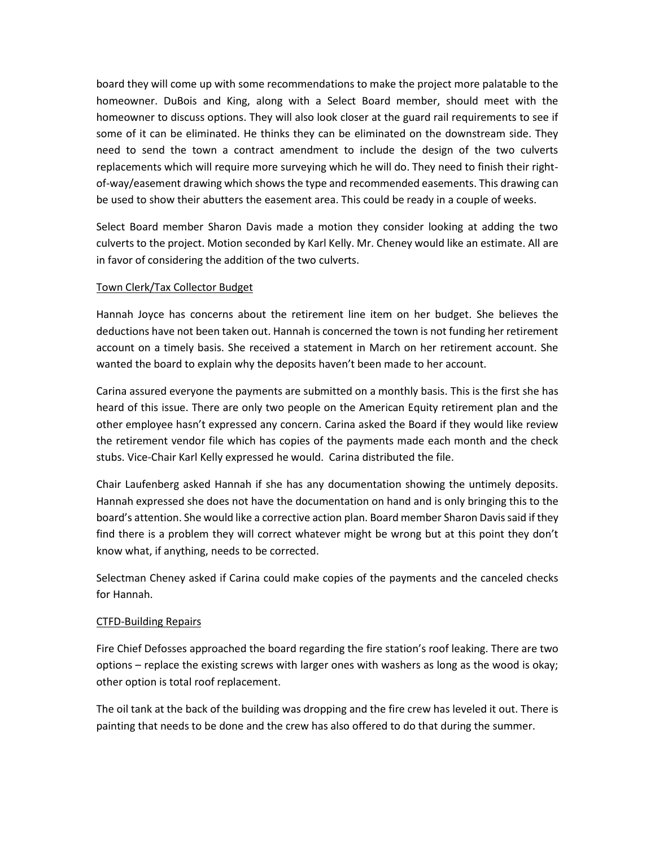board they will come up with some recommendations to make the project more palatable to the homeowner. DuBois and King, along with a Select Board member, should meet with the homeowner to discuss options. They will also look closer at the guard rail requirements to see if some of it can be eliminated. He thinks they can be eliminated on the downstream side. They need to send the town a contract amendment to include the design of the two culverts replacements which will require more surveying which he will do. They need to finish their rightof-way/easement drawing which shows the type and recommended easements. This drawing can be used to show their abutters the easement area. This could be ready in a couple of weeks.

Select Board member Sharon Davis made a motion they consider looking at adding the two culverts to the project. Motion seconded by Karl Kelly. Mr. Cheney would like an estimate. All are in favor of considering the addition of the two culverts.

# Town Clerk/Tax Collector Budget

Hannah Joyce has concerns about the retirement line item on her budget. She believes the deductions have not been taken out. Hannah is concerned the town is not funding her retirement account on a timely basis. She received a statement in March on her retirement account. She wanted the board to explain why the deposits haven't been made to her account.

Carina assured everyone the payments are submitted on a monthly basis. This is the first she has heard of this issue. There are only two people on the American Equity retirement plan and the other employee hasn't expressed any concern. Carina asked the Board if they would like review the retirement vendor file which has copies of the payments made each month and the check stubs. Vice-Chair Karl Kelly expressed he would. Carina distributed the file.

Chair Laufenberg asked Hannah if she has any documentation showing the untimely deposits. Hannah expressed she does not have the documentation on hand and is only bringing this to the board's attention. She would like a corrective action plan. Board member Sharon Davis said if they find there is a problem they will correct whatever might be wrong but at this point they don't know what, if anything, needs to be corrected.

Selectman Cheney asked if Carina could make copies of the payments and the canceled checks for Hannah.

## CTFD-Building Repairs

Fire Chief Defosses approached the board regarding the fire station's roof leaking. There are two options – replace the existing screws with larger ones with washers as long as the wood is okay; other option is total roof replacement.

The oil tank at the back of the building was dropping and the fire crew has leveled it out. There is painting that needs to be done and the crew has also offered to do that during the summer.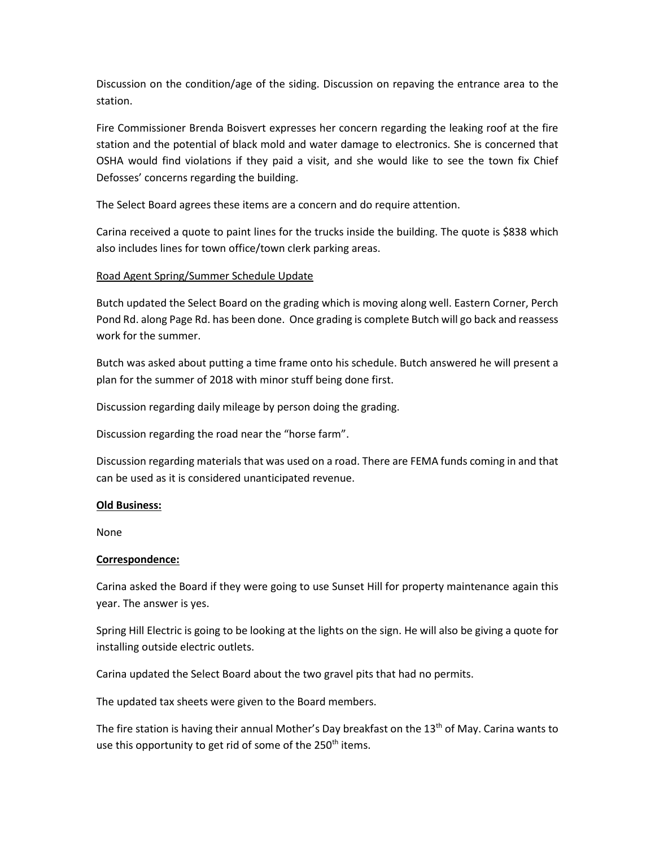Discussion on the condition/age of the siding. Discussion on repaving the entrance area to the station.

Fire Commissioner Brenda Boisvert expresses her concern regarding the leaking roof at the fire station and the potential of black mold and water damage to electronics. She is concerned that OSHA would find violations if they paid a visit, and she would like to see the town fix Chief Defosses' concerns regarding the building.

The Select Board agrees these items are a concern and do require attention.

Carina received a quote to paint lines for the trucks inside the building. The quote is \$838 which also includes lines for town office/town clerk parking areas.

# Road Agent Spring/Summer Schedule Update

Butch updated the Select Board on the grading which is moving along well. Eastern Corner, Perch Pond Rd. along Page Rd. has been done. Once grading is complete Butch will go back and reassess work for the summer.

Butch was asked about putting a time frame onto his schedule. Butch answered he will present a plan for the summer of 2018 with minor stuff being done first.

Discussion regarding daily mileage by person doing the grading.

Discussion regarding the road near the "horse farm".

Discussion regarding materials that was used on a road. There are FEMA funds coming in and that can be used as it is considered unanticipated revenue.

## **Old Business:**

None

## **Correspondence:**

Carina asked the Board if they were going to use Sunset Hill for property maintenance again this year. The answer is yes.

Spring Hill Electric is going to be looking at the lights on the sign. He will also be giving a quote for installing outside electric outlets.

Carina updated the Select Board about the two gravel pits that had no permits.

The updated tax sheets were given to the Board members.

The fire station is having their annual Mother's Day breakfast on the  $13<sup>th</sup>$  of May. Carina wants to use this opportunity to get rid of some of the 250<sup>th</sup> items.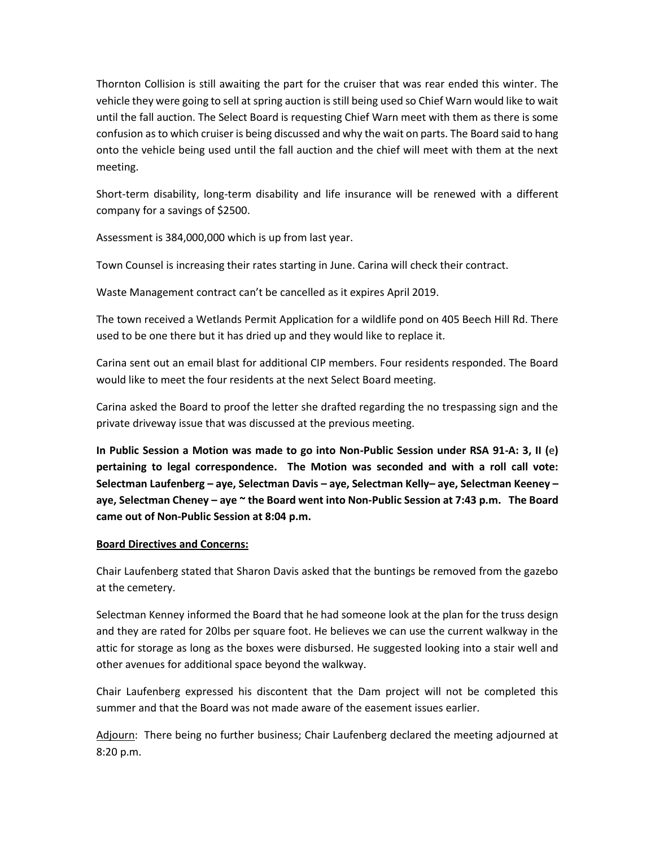Thornton Collision is still awaiting the part for the cruiser that was rear ended this winter. The vehicle they were going to sell at spring auction is still being used so Chief Warn would like to wait until the fall auction. The Select Board is requesting Chief Warn meet with them as there is some confusion as to which cruiser is being discussed and why the wait on parts. The Board said to hang onto the vehicle being used until the fall auction and the chief will meet with them at the next meeting.

Short-term disability, long-term disability and life insurance will be renewed with a different company for a savings of \$2500.

Assessment is 384,000,000 which is up from last year.

Town Counsel is increasing their rates starting in June. Carina will check their contract.

Waste Management contract can't be cancelled as it expires April 2019.

The town received a Wetlands Permit Application for a wildlife pond on 405 Beech Hill Rd. There used to be one there but it has dried up and they would like to replace it.

Carina sent out an email blast for additional CIP members. Four residents responded. The Board would like to meet the four residents at the next Select Board meeting.

Carina asked the Board to proof the letter she drafted regarding the no trespassing sign and the private driveway issue that was discussed at the previous meeting.

**In Public Session a Motion was made to go into Non-Public Session under RSA 91-A: 3, II (**e**) pertaining to legal correspondence. The Motion was seconded and with a roll call vote: Selectman Laufenberg – aye, Selectman Davis – aye, Selectman Kelly– aye, Selectman Keeney – aye, Selectman Cheney – aye ~ the Board went into Non-Public Session at 7:43 p.m. The Board came out of Non-Public Session at 8:04 p.m.**

## **Board Directives and Concerns:**

Chair Laufenberg stated that Sharon Davis asked that the buntings be removed from the gazebo at the cemetery.

Selectman Kenney informed the Board that he had someone look at the plan for the truss design and they are rated for 20lbs per square foot. He believes we can use the current walkway in the attic for storage as long as the boxes were disbursed. He suggested looking into a stair well and other avenues for additional space beyond the walkway.

Chair Laufenberg expressed his discontent that the Dam project will not be completed this summer and that the Board was not made aware of the easement issues earlier.

Adjourn: There being no further business; Chair Laufenberg declared the meeting adjourned at 8:20 p.m.